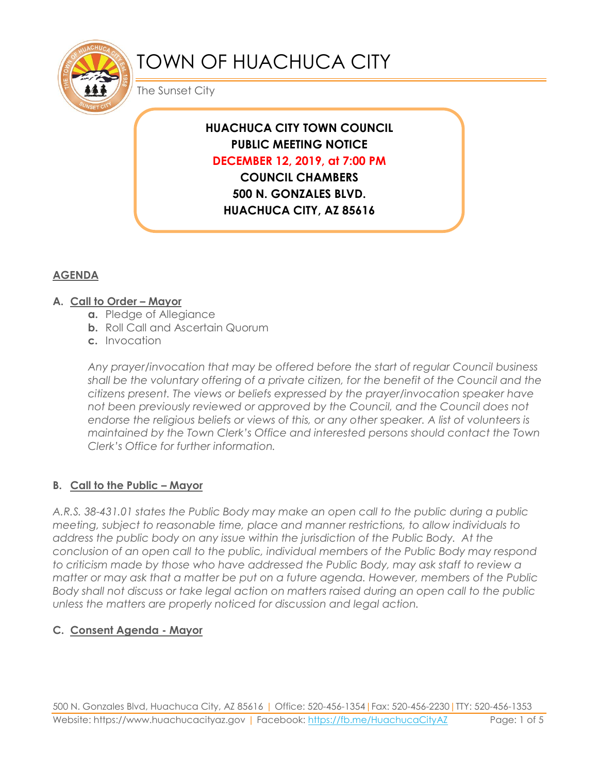

# TOWN OF HUACHUCA CITY

The Sunset City

# **HUACHUCA CITY TOWN COUNCIL PUBLIC MEETING NOTICE DECEMBER 12, 2019, at 7:00 PM**

**COUNCIL CHAMBERS 500 N. GONZALES BLVD. HUACHUCA CITY, AZ 85616**

# **AGENDA**

# **A. Call to Order – Mayor**

- **a.** Pledge of Allegiance
- **b.** Roll Call and Ascertain Quorum
- **c.** Invocation

*Any prayer/invocation that may be offered before the start of regular Council business shall be the voluntary offering of a private citizen, for the benefit of the Council and the citizens present. The views or beliefs expressed by the prayer/invocation speaker have not been previously reviewed or approved by the Council, and the Council does not endorse the religious beliefs or views of this, or any other speaker. A list of volunteers is maintained by the Town Clerk's Office and interested persons should contact the Town Clerk's Office for further information.*

# **B. Call to the Public – Mayor**

*A.R.S. 38-431.01 states the Public Body may make an open call to the public during a public meeting, subject to reasonable time, place and manner restrictions, to allow individuals to address the public body on any issue within the jurisdiction of the Public Body. At the conclusion of an open call to the public, individual members of the Public Body may respond to criticism made by those who have addressed the Public Body, may ask staff to review a matter or may ask that a matter be put on a future agenda. However, members of the Public Body shall not discuss or take legal action on matters raised during an open call to the public unless the matters are properly noticed for discussion and legal action.*

# **C. Consent Agenda - Mayor**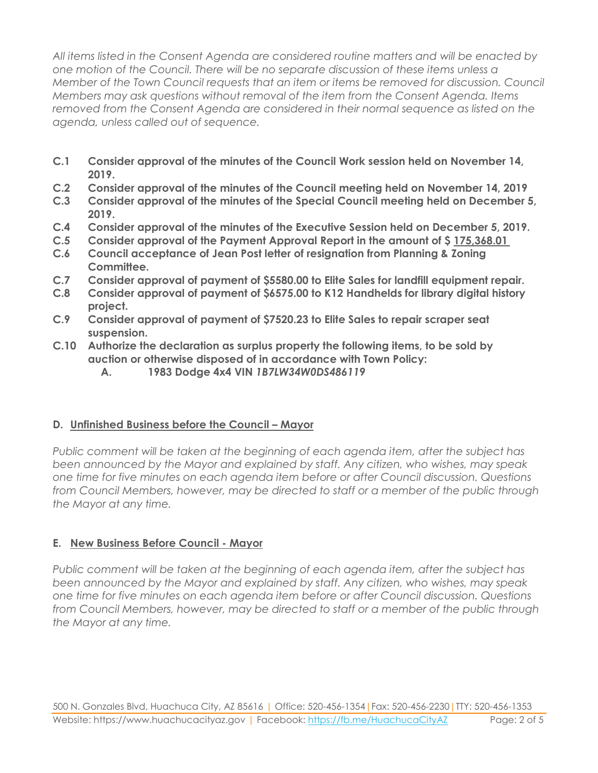*All items listed in the Consent Agenda are considered routine matters and will be enacted by one motion of the Council. There will be no separate discussion of these items unless a Member of the Town Council requests that an item or items be removed for discussion. Council Members may ask questions without removal of the item from the Consent Agenda. Items removed from the Consent Agenda are considered in their normal sequence as listed on the agenda, unless called out of sequence.*

- **C.1 Consider approval of the minutes of the Council Work session held on November 14, 2019.**
- **C.2 Consider approval of the minutes of the Council meeting held on November 14, 2019**
- **C.3 Consider approval of the minutes of the Special Council meeting held on December 5, 2019.**
- **C.4 Consider approval of the minutes of the Executive Session held on December 5, 2019.**
- **C.5 Consider approval of the Payment Approval Report in the amount of \$ 175,368.01**
- **C.6 Council acceptance of Jean Post letter of resignation from Planning & Zoning Committee.**
- **C.7 Consider approval of payment of \$5580.00 to Elite Sales for landfill equipment repair.**
- **C.8 Consider approval of payment of \$6575.00 to K12 Handhelds for library digital history project.**
- **C.9 Consider approval of payment of \$7520.23 to Elite Sales to repair scraper seat suspension.**
- **C.10 Authorize the declaration as surplus property the following items, to be sold by auction or otherwise disposed of in accordance with Town Policy:**
	- **A. 1983 Dodge 4x4 VIN** *1B7LW34W0DS486119*

#### **D.** Unfinished Business before the Council – Mayor

*Public comment will be taken at the beginning of each agenda item, after the subject has been announced by the Mayor and explained by staff. Any citizen, who wishes, may speak one time for five minutes on each agenda item before or after Council discussion. Questions from Council Members, however, may be directed to staff or a member of the public through the Mayor at any time.*

# **E. New Business Before Council - Mayor**

*Public comment will be taken at the beginning of each agenda item, after the subject has been announced by the Mayor and explained by staff. Any citizen, who wishes, may speak one time for five minutes on each agenda item before or after Council discussion. Questions from Council Members, however, may be directed to staff or a member of the public through the Mayor at any time.*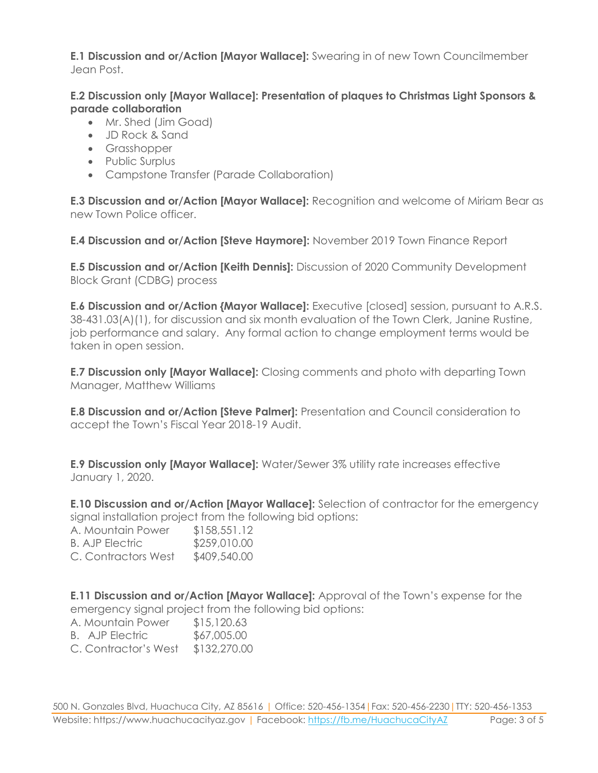**E.1 Discussion and or/Action [Mayor Wallace]:** Swearing in of new Town Councilmember Jean Post.

#### **E.2 Discussion only [Mayor Wallace]: Presentation of plaques to Christmas Light Sponsors & parade collaboration**

- Mr. Shed (Jim Goad)
- JD Rock & Sand
- Grasshopper
- Public Surplus
- Campstone Transfer (Parade Collaboration)

**E.3 Discussion and or/Action [Mayor Wallace]:** Recognition and welcome of Miriam Bear as new Town Police officer.

**E.4 Discussion and or/Action [Steve Haymore]:** November 2019 Town Finance Report

**E.5 Discussion and or/Action [Keith Dennis]:** Discussion of 2020 Community Development Block Grant (CDBG) process

**E.6 Discussion and or/Action {Mayor Wallace]:** Executive [closed] session, pursuant to A.R.S. 38-431.03(A)(1), for discussion and six month evaluation of the Town Clerk, Janine Rustine, job performance and salary. Any formal action to change employment terms would be taken in open session.

**E.7 Discussion only [Mayor Wallace]:** Closing comments and photo with departing Town Manager, Matthew Williams

**E.8 Discussion and or/Action [Steve Palmer]:** Presentation and Council consideration to accept the Town's Fiscal Year 2018-19 Audit.

**E.9 Discussion only [Mayor Wallace]:** Water/Sewer 3% utility rate increases effective January 1, 2020.

**E.10 Discussion and or/Action [Mayor Wallace]:** Selection of contractor for the emergency signal installation project from the following bid options:

| A. Mountain Power      | \$158,551.12 |
|------------------------|--------------|
| <b>B. AJP Electric</b> | \$259,010.00 |
| C. Contractors West    | \$409,540.00 |

**E.11 Discussion and or/Action [Mayor Wallace]:** Approval of the Town's expense for the emergency signal project from the following bid options:

A. Mountain Power \$15,120.63 B. AJP Electric \$67,005.00

C. Contractor's West \$132,270.00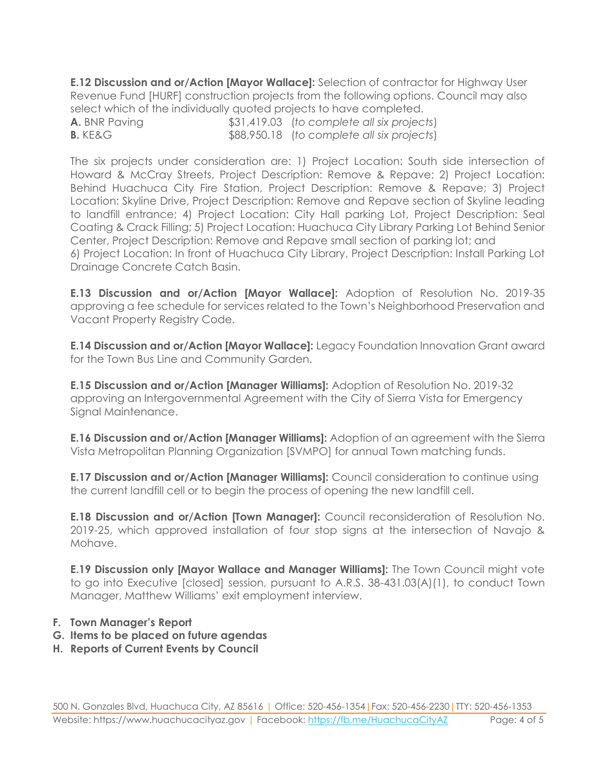**E.12 Discussion and or/Action [Mayor Wallace]:** Selection of contractor for Highway User Revenue Fund [HURF] construction projects from the following options. Council may also select which of the individually quoted projects to have completed.

**A.** BNR Paving \$31,419.03 (*to complete all six projects*) **B.** KE&G  $$88,950.18$  (*to complete all six projects*)

The six projects under consideration are: 1) Project Location: South side intersection of Howard & McCray Streets, Project Description: Remove & Repave; 2) Project Location: Behind Huachuca City Fire Station, Project Description: Remove & Repave; 3) Project Location: Skyline Drive, Project Description: Remove and Repave section of Skyline leading to landfill entrance; 4) Project Location: City Hall parking Lot, Project Description: Seal Coating & Crack Filling; 5) Project Location: Huachuca City Library Parking Lot Behind Senior Center, Project Description: Remove and Repave small section of parking lot; and 6) Project Location: In front of Huachuca City Library, Project Description: Install Parking Lot Drainage Concrete Catch Basin.

**E.13 Discussion and or/Action [Mayor Wallace]:** Adoption of Resolution No. 2019-35 approving a fee schedule for services related to the Town's Neighborhood Preservation and Vacant Property Registry Code.

**E.14 Discussion and or/Action [Mayor Wallace]:** Legacy Foundation Innovation Grant award for the Town Bus Line and Community Garden.

**E.15 Discussion and or/Action [Manager Williams]:** Adoption of Resolution No. 2019-32 approving an Intergovernmental Agreement with the City of Sierra Vista for Emergency Signal Maintenance.

**E.16 Discussion and or/Action [Manager Williams]:** Adoption of an agreement with the Sierra Vista Metropolitan Planning Organization [SVMPO] for annual Town matching funds.

**E.17 Discussion and or/Action [Manager Williams]:** Council consideration to continue using the current landfill cell or to begin the process of opening the new landfill cell.

**E.18 Discussion and or/Action [Town Manager]:** Council reconsideration of Resolution No. 2019-25, which approved installation of four stop signs at the intersection of Navajo & Mohave.

**E.19 Discussion only [Mayor Wallace and Manager Williams]:** The Town Council might vote to go into Executive [closed] session, pursuant to A.R.S. 38-431.03(A)(1), to conduct Town Manager, Matthew Williams' exit employment interview.

- **F. Town Manager's Report**
- **G. Items to be placed on future agendas**
- **H. Reports of Current Events by Council**